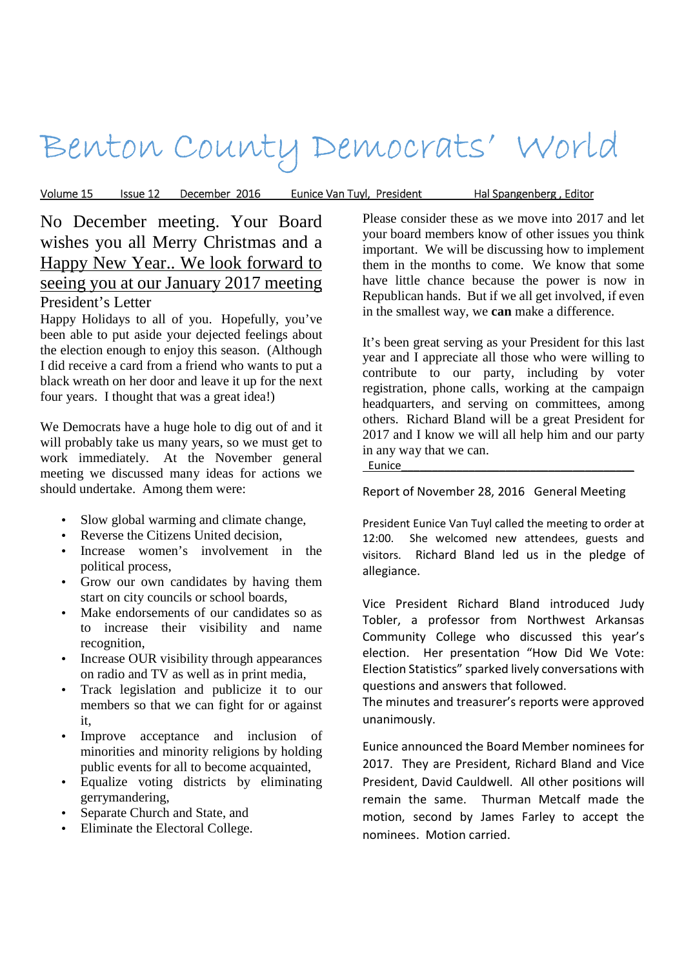# Benton County Democrats' World

Volume 15 Issue 12 \_ December 2016 \_ Eunice Van Tuyl, President \_\_\_\_\_ Hal Spangenberg , Editor

## No December meeting. Your Board wishes you all Merry Christmas and a Happy New Year.. We look forward to seeing you at our January 2017 meeting President's Letter

Happy Holidays to all of you. Hopefully, you've been able to put aside your dejected feelings about the election enough to enjoy this season. (Although I did receive a card from a friend who wants to put a black wreath on her door and leave it up for the next four years. I thought that was a great idea!)

We Democrats have a huge hole to dig out of and it will probably take us many years, so we must get to work immediately. At the November general meeting we discussed many ideas for actions we should undertake. Among them were:

- Slow global warming and climate change,
- Reverse the Citizens United decision,
- Increase women's involvement in the political process,
- Grow our own candidates by having them start on city councils or school boards,
- Make endorsements of our candidates so as to increase their visibility and name recognition,
- Increase OUR visibility through appearances on radio and TV as well as in print media,
- Track legislation and publicize it to our members so that we can fight for or against it,
- Improve acceptance and inclusion of minorities and minority religions by holding public events for all to become acquainted,
- Equalize voting districts by eliminating gerrymandering,
- Separate Church and State, and
- Eliminate the Electoral College.

Please consider these as we move into 2017 and let your board members know of other issues you think important. We will be discussing how to implement them in the months to come. We know that some have little chance because the power is now in Republican hands. But if we all get involved, if even in the smallest way, we **can** make a difference.

It's been great serving as your President for this last year and I appreciate all those who were willing to contribute to our party, including by voter registration, phone calls, working at the campaign headquarters, and serving on committees, among others. Richard Bland will be a great President for 2017 and I know we will all help him and our party in any way that we can.

Eunice\_\_\_\_\_\_\_\_\_\_\_\_\_\_\_\_\_\_\_\_\_\_\_\_\_\_\_\_\_\_\_\_\_\_\_\_\_\_

Report of November 28, 2016 General Meeting

President Eunice Van Tuyl called the meeting to order at 12:00. She welcomed new attendees, guests and visitors. Richard Bland led us in the pledge of allegiance.

Vice President Richard Bland introduced Judy Tobler, a professor from Northwest Arkansas Community College who discussed this year's election. Her presentation "How Did We Vote: Election Statistics" sparked lively conversations with questions and answers that followed.

The minutes and treasurer's reports were approved unanimously.

Eunice announced the Board Member nominees for 2017. They are President, Richard Bland and Vice President, David Cauldwell. All other positions will remain the same. Thurman Metcalf made the motion, second by James Farley to accept the nominees. Motion carried.